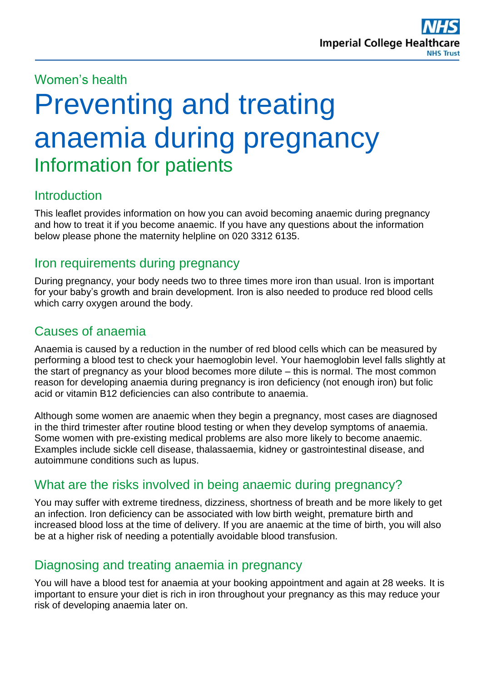# Women's health

# Preventing and treating anaemia during pregnancy Information for patients

# **Introduction**

This leaflet provides information on how you can avoid becoming anaemic during pregnancy and how to treat it if you become anaemic. If you have any questions about the information below please phone the maternity helpline on 020 3312 6135.

## Iron requirements during pregnancy

During pregnancy, your body needs two to three times more iron than usual. Iron is important for your baby's growth and brain development. Iron is also needed to produce red blood cells which carry oxygen around the body.

# Causes of anaemia

Anaemia is caused by a reduction in the number of red blood cells which can be measured by performing a blood test to check your haemoglobin level. Your haemoglobin level falls slightly at the start of pregnancy as your blood becomes more dilute – this is normal. The most common reason for developing anaemia during pregnancy is iron deficiency (not enough iron) but folic acid or vitamin B12 deficiencies can also contribute to anaemia.

Although some women are anaemic when they begin a pregnancy, most cases are diagnosed in the third trimester after routine blood testing or when they develop symptoms of anaemia. Some women with pre-existing medical problems are also more likely to become anaemic. Examples include sickle cell disease, thalassaemia, kidney or gastrointestinal disease, and autoimmune conditions such as lupus.

# What are the risks involved in being anaemic during pregnancy?

You may suffer with extreme tiredness, dizziness, shortness of breath and be more likely to get an infection. Iron deficiency can be associated with low birth weight, premature birth and increased blood loss at the time of delivery. If you are anaemic at the time of birth, you will also be at a higher risk of needing a potentially avoidable blood transfusion.

## Diagnosing and treating anaemia in pregnancy

You will have a blood test for anaemia at your booking appointment and again at 28 weeks. It is important to ensure your diet is rich in iron throughout your pregnancy as this may reduce your risk of developing anaemia later on.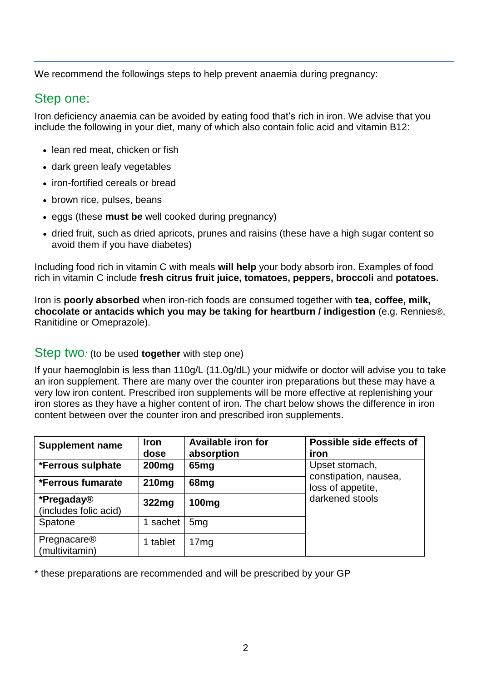We recommend the followings steps to help prevent anaemia during pregnancy:

### Step one:

Iron deficiency anaemia can be avoided by eating food that's rich in iron. We advise that you include the following in your diet, many of which also contain folic acid and vitamin B12:

- lean red meat, chicken or fish
- dark green leafy vegetables
- iron-fortified cereals or bread
- brown rice, pulses, beans
- eggs (these **must be** well cooked during pregnancy)
- dried fruit, such as dried apricots, prunes and raisins (these have a high sugar content so avoid them if you have diabetes)

Including food rich in vitamin C with meals **will help** your body absorb iron. Examples of food rich in vitamin C include **fresh citrus fruit juice, tomatoes, peppers, broccoli** and **potatoes.**

Iron is **poorly absorbed** when iron-rich foods are consumed together with **tea, coffee, milk, chocolate or antacids which you may be taking for heartburn / indigestion** (e.g. Rennies®, Ranitidine or Omeprazole).

#### Step two*:* (to be used **together** with step one)

If your haemoglobin is less than 110g/L (11.0g/dL) your midwife or doctor will advise you to take an iron supplement. There are many over the counter iron preparations but these may have a very low iron content. Prescribed iron supplements will be more effective at replenishing your iron stores as they have a higher content of iron. The chart below shows the difference in iron content between over the counter iron and prescribed iron supplements.

| <b>Supplement name</b>              | <b>Iron</b><br>dose | Available iron for<br>absorption | Possible side effects of<br>iron                                                |
|-------------------------------------|---------------------|----------------------------------|---------------------------------------------------------------------------------|
| <i><b>*Ferrous sulphate</b></i>     | 200 <sub>mg</sub>   | 65 <sub>mg</sub>                 | Upset stomach,<br>constipation, nausea,<br>loss of appetite,<br>darkened stools |
| *Ferrous fumarate                   | 210 <sub>mg</sub>   | 68 <sub>mg</sub>                 |                                                                                 |
| *Pregaday®<br>(includes folic acid) | 322 <sub>mg</sub>   | 100 <sub>mg</sub>                |                                                                                 |
| Spatone                             | sachet              | 5 <sub>mg</sub>                  |                                                                                 |
| Pregnacare®<br>(multivitamin)       | tablet              | 17mg                             |                                                                                 |

\* these preparations are recommended and will be prescribed by your GP